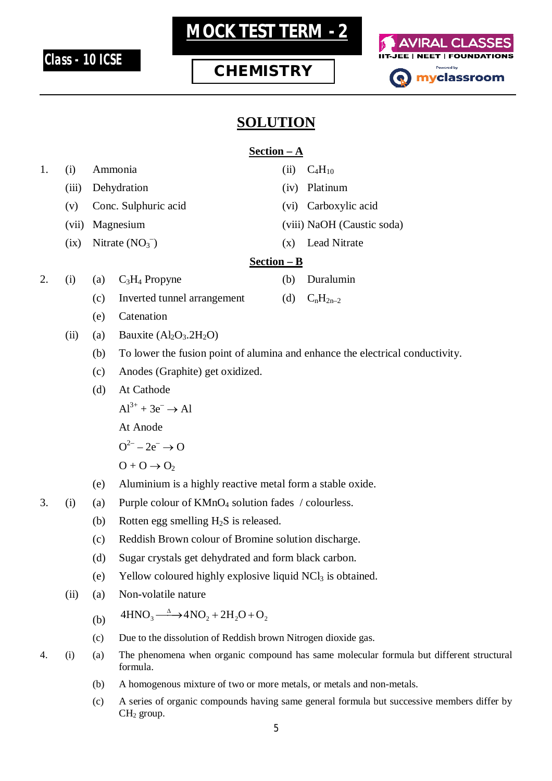

# **MOCK TEST TERM - 2**

## **CHEMISTRY**



### **SOLUTION**

#### **Section – A**

| 1. | (i)   | Ammonia<br>Dehydration |                                                                                                            | (ii) | $C_4H_{10}$                |  |
|----|-------|------------------------|------------------------------------------------------------------------------------------------------------|------|----------------------------|--|
|    | (iii) |                        |                                                                                                            | (iv) | Platinum                   |  |
|    | (v)   | Conc. Sulphuric acid   |                                                                                                            | (vi) | Carboxylic acid            |  |
|    | (vii) | Magnesium              |                                                                                                            |      | (viii) NaOH (Caustic soda) |  |
|    | (ix)  | Nitrate $(NO3-)$       |                                                                                                            | (x)  | Lead Nitrate               |  |
|    |       | $Section - B$          |                                                                                                            |      |                            |  |
| 2. | (i)   | (a)                    | $C_3H_4$ Propyne                                                                                           | (b)  | Duralumin                  |  |
|    |       | (c)                    | Inverted tunnel arrangement                                                                                | (d)  | $C_nH_{2n-2}$              |  |
|    |       | (e)                    | Catenation                                                                                                 |      |                            |  |
|    | (ii)  | (a)                    | Bauxite $(Al_2O_3.2H_2O)$                                                                                  |      |                            |  |
|    |       | (b)                    | To lower the fusion point of alumina and enhance the electrical conductivity.                              |      |                            |  |
|    |       | (c)                    | Anodes (Graphite) get oxidized.                                                                            |      |                            |  |
|    |       | (d)                    | At Cathode<br>$Al^{3+} + 3e^- \rightarrow Al$                                                              |      |                            |  |
|    |       |                        |                                                                                                            |      |                            |  |
|    |       |                        | At Anode                                                                                                   |      |                            |  |
|    |       |                        | $Q^{2-} - 2e^- \rightarrow Q$                                                                              |      |                            |  |
|    |       |                        | $O + O \rightarrow O_2$                                                                                    |      |                            |  |
|    |       | (e)                    | Aluminium is a highly reactive metal form a stable oxide.                                                  |      |                            |  |
| 3. | (i)   | (a)                    | Purple colour of KMnO <sub>4</sub> solution fades / colourless.                                            |      |                            |  |
|    |       | (b)                    | Rotten egg smelling $H_2S$ is released.                                                                    |      |                            |  |
|    |       | (c)                    | Reddish Brown colour of Bromine solution discharge.                                                        |      |                            |  |
|    |       | (d)                    | Sugar crystals get dehydrated and form black carbon.                                                       |      |                            |  |
|    |       | (e)                    | Yellow coloured highly explosive liquid NCl <sub>3</sub> is obtained.                                      |      |                            |  |
|    | (ii)  | (a)                    | Non-volatile nature                                                                                        |      |                            |  |
|    |       | (b)                    | $4HNO_3 \longrightarrow 4NO_2 + 2H_2O + O_2$                                                               |      |                            |  |
|    |       | (c)                    | Due to the dissolution of Reddish brown Nitrogen dioxide gas.                                              |      |                            |  |
| 4. | (i)   | (a)                    | The phenomena when organic compound has same molecular formula but different structural<br>formula.        |      |                            |  |
|    |       | (b)                    | A homogenous mixture of two or more metals, or metals and non-metals.                                      |      |                            |  |
|    |       | (c)                    | A series of organic compounds having same general formula but successive members differ by<br>$CH2$ group. |      |                            |  |